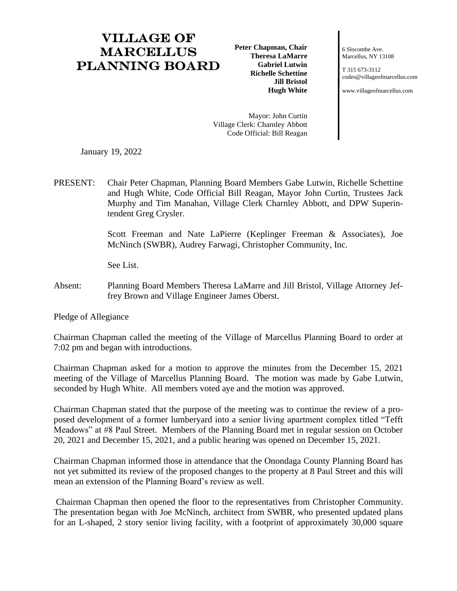## Village of **MARCELLUS** Planning Board

**Peter Chapman, Chair Theresa LaMarre Gabriel Lutwin Richelle Schettine Jill Bristol Hugh White**

6 Slocombe Ave. Marcellus, NY 13108

T 315 673-3112 [codes@villageofmarcellus.com](mailto:codes@villageofmarcellus.com)

[www.villageofmarcellus.com](http://www.villageofmarcellus.com/)

Mayor: John Curtin Village Clerk: Charnley Abbott Code Official: Bill Reagan

January 19, 2022

PRESENT: Chair Peter Chapman, Planning Board Members Gabe Lutwin, Richelle Schettine and Hugh White, Code Official Bill Reagan, Mayor John Curtin, Trustees Jack Murphy and Tim Manahan, Village Clerk Charnley Abbott, and DPW Superintendent Greg Crysler.

> Scott Freeman and Nate LaPierre (Keplinger Freeman & Associates), Joe McNinch (SWBR), Audrey Farwagi, Christopher Community, Inc.

See List.

Absent: Planning Board Members Theresa LaMarre and Jill Bristol, Village Attorney Jeffrey Brown and Village Engineer James Oberst.

Pledge of Allegiance

Chairman Chapman called the meeting of the Village of Marcellus Planning Board to order at 7:02 pm and began with introductions.

Chairman Chapman asked for a motion to approve the minutes from the December 15, 2021 meeting of the Village of Marcellus Planning Board. The motion was made by Gabe Lutwin, seconded by Hugh White. All members voted aye and the motion was approved.

Chairman Chapman stated that the purpose of the meeting was to continue the review of a proposed development of a former lumberyard into a senior living apartment complex titled "Tefft Meadows" at #8 Paul Street. Members of the Planning Board met in regular session on October 20, 2021 and December 15, 2021, and a public hearing was opened on December 15, 2021.

Chairman Chapman informed those in attendance that the Onondaga County Planning Board has not yet submitted its review of the proposed changes to the property at 8 Paul Street and this will mean an extension of the Planning Board's review as well.

Chairman Chapman then opened the floor to the representatives from Christopher Community. The presentation began with Joe McNinch, architect from SWBR, who presented updated plans for an L-shaped, 2 story senior living facility, with a footprint of approximately 30,000 square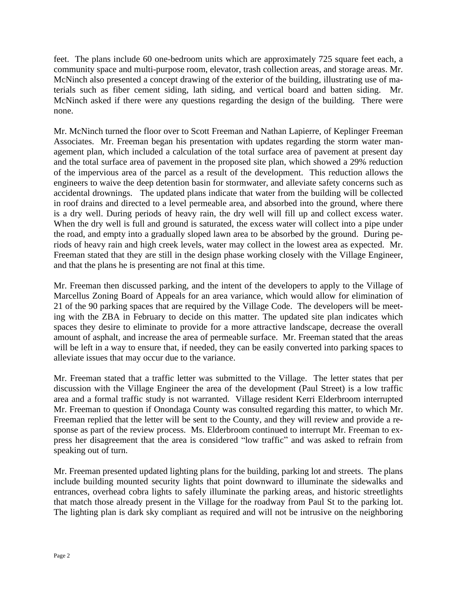feet. The plans include 60 one-bedroom units which are approximately 725 square feet each, a community space and multi-purpose room, elevator, trash collection areas, and storage areas. Mr. McNinch also presented a concept drawing of the exterior of the building, illustrating use of materials such as fiber cement siding, lath siding, and vertical board and batten siding. Mr. McNinch asked if there were any questions regarding the design of the building. There were none.

Mr. McNinch turned the floor over to Scott Freeman and Nathan Lapierre, of Keplinger Freeman Associates. Mr. Freeman began his presentation with updates regarding the storm water management plan, which included a calculation of the total surface area of pavement at present day and the total surface area of pavement in the proposed site plan, which showed a 29% reduction of the impervious area of the parcel as a result of the development. This reduction allows the engineers to waive the deep detention basin for stormwater, and alleviate safety concerns such as accidental drownings. The updated plans indicate that water from the building will be collected in roof drains and directed to a level permeable area, and absorbed into the ground, where there is a dry well. During periods of heavy rain, the dry well will fill up and collect excess water. When the dry well is full and ground is saturated, the excess water will collect into a pipe under the road, and empty into a gradually sloped lawn area to be absorbed by the ground. During periods of heavy rain and high creek levels, water may collect in the lowest area as expected. Mr. Freeman stated that they are still in the design phase working closely with the Village Engineer, and that the plans he is presenting are not final at this time.

Mr. Freeman then discussed parking, and the intent of the developers to apply to the Village of Marcellus Zoning Board of Appeals for an area variance, which would allow for elimination of 21 of the 90 parking spaces that are required by the Village Code. The developers will be meeting with the ZBA in February to decide on this matter. The updated site plan indicates which spaces they desire to eliminate to provide for a more attractive landscape, decrease the overall amount of asphalt, and increase the area of permeable surface. Mr. Freeman stated that the areas will be left in a way to ensure that, if needed, they can be easily converted into parking spaces to alleviate issues that may occur due to the variance.

Mr. Freeman stated that a traffic letter was submitted to the Village. The letter states that per discussion with the Village Engineer the area of the development (Paul Street) is a low traffic area and a formal traffic study is not warranted. Village resident Kerri Elderbroom interrupted Mr. Freeman to question if Onondaga County was consulted regarding this matter, to which Mr. Freeman replied that the letter will be sent to the County, and they will review and provide a response as part of the review process. Ms. Elderbroom continued to interrupt Mr. Freeman to express her disagreement that the area is considered "low traffic" and was asked to refrain from speaking out of turn.

Mr. Freeman presented updated lighting plans for the building, parking lot and streets. The plans include building mounted security lights that point downward to illuminate the sidewalks and entrances, overhead cobra lights to safely illuminate the parking areas, and historic streetlights that match those already present in the Village for the roadway from Paul St to the parking lot. The lighting plan is dark sky compliant as required and will not be intrusive on the neighboring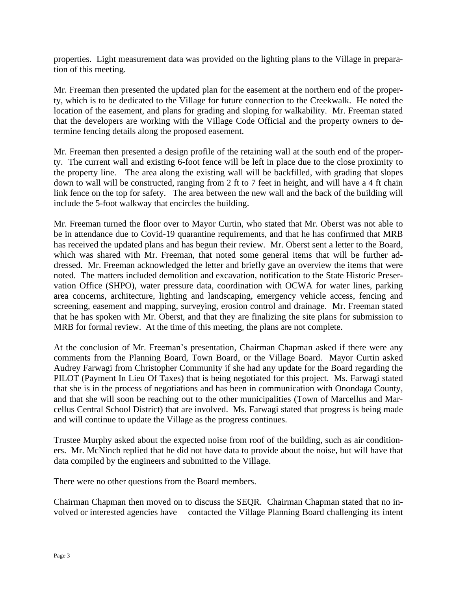properties. Light measurement data was provided on the lighting plans to the Village in preparation of this meeting.

Mr. Freeman then presented the updated plan for the easement at the northern end of the property, which is to be dedicated to the Village for future connection to the Creekwalk. He noted the location of the easement, and plans for grading and sloping for walkability. Mr. Freeman stated that the developers are working with the Village Code Official and the property owners to determine fencing details along the proposed easement.

Mr. Freeman then presented a design profile of the retaining wall at the south end of the property. The current wall and existing 6-foot fence will be left in place due to the close proximity to the property line. The area along the existing wall will be backfilled, with grading that slopes down to wall will be constructed, ranging from 2 ft to 7 feet in height, and will have a 4 ft chain link fence on the top for safety. The area between the new wall and the back of the building will include the 5-foot walkway that encircles the building.

Mr. Freeman turned the floor over to Mayor Curtin, who stated that Mr. Oberst was not able to be in attendance due to Covid-19 quarantine requirements, and that he has confirmed that MRB has received the updated plans and has begun their review. Mr. Oberst sent a letter to the Board, which was shared with Mr. Freeman, that noted some general items that will be further addressed. Mr. Freeman acknowledged the letter and briefly gave an overview the items that were noted. The matters included demolition and excavation, notification to the State Historic Preservation Office (SHPO), water pressure data, coordination with OCWA for water lines, parking area concerns, architecture, lighting and landscaping, emergency vehicle access, fencing and screening, easement and mapping, surveying, erosion control and drainage. Mr. Freeman stated that he has spoken with Mr. Oberst, and that they are finalizing the site plans for submission to MRB for formal review. At the time of this meeting, the plans are not complete.

At the conclusion of Mr. Freeman's presentation, Chairman Chapman asked if there were any comments from the Planning Board, Town Board, or the Village Board. Mayor Curtin asked Audrey Farwagi from Christopher Community if she had any update for the Board regarding the PILOT (Payment In Lieu Of Taxes) that is being negotiated for this project. Ms. Farwagi stated that she is in the process of negotiations and has been in communication with Onondaga County, and that she will soon be reaching out to the other municipalities (Town of Marcellus and Marcellus Central School District) that are involved. Ms. Farwagi stated that progress is being made and will continue to update the Village as the progress continues.

Trustee Murphy asked about the expected noise from roof of the building, such as air conditioners. Mr. McNinch replied that he did not have data to provide about the noise, but will have that data compiled by the engineers and submitted to the Village.

There were no other questions from the Board members.

Chairman Chapman then moved on to discuss the SEQR. Chairman Chapman stated that no involved or interested agencies have contacted the Village Planning Board challenging its intent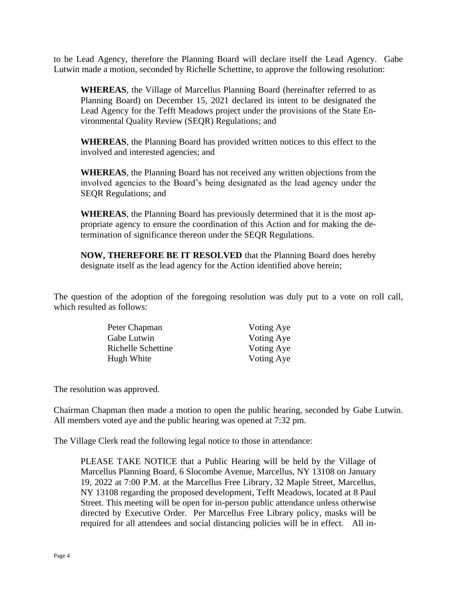to be Lead Agency, therefore the Planning Board will declare itself the Lead Agency. Gabe Lutwin made a motion, seconded by Richelle Schettine, to approve the following resolution:

**WHEREAS**, the Village of Marcellus Planning Board (hereinafter referred to as Planning Board) on December 15, 2021 declared its intent to be designated the Lead Agency for the Tefft Meadows project under the provisions of the State Environmental Quality Review (SEQR) Regulations; and

**WHEREAS**, the Planning Board has provided written notices to this effect to the involved and interested agencies; and

**WHEREAS**, the Planning Board has not received any written objections from the involved agencies to the Board's being designated as the lead agency under the SEQR Regulations; and

**WHEREAS**, the Planning Board has previously determined that it is the most appropriate agency to ensure the coordination of this Action and for making the determination of significance thereon under the SEQR Regulations.

**NOW, THEREFORE BE IT RESOLVED** that the Planning Board does hereby designate itself as the lead agency for the Action identified above herein;

The question of the adoption of the foregoing resolution was duly put to a vote on roll call, which resulted as follows:

| Peter Chapman      | Voting Aye |
|--------------------|------------|
| Gabe Lutwin        | Voting Aye |
| Richelle Schettine | Voting Aye |
| Hugh White         | Voting Aye |

The resolution was approved.

Chairman Chapman then made a motion to open the public hearing, seconded by Gabe Lutwin. All members voted aye and the public hearing was opened at 7:32 pm.

The Village Clerk read the following legal notice to those in attendance:

PLEASE TAKE NOTICE that a Public Hearing will be held by the Village of Marcellus Planning Board, 6 Slocombe Avenue, Marcellus, NY 13108 on January 19, 2022 at 7:00 P.M. at the Marcellus Free Library, 32 Maple Street, Marcellus, NY 13108 regarding the proposed development, Tefft Meadows, located at 8 Paul Street. This meeting will be open for in-person public attendance unless otherwise directed by Executive Order. Per Marcellus Free Library policy, masks will be required for all attendees and social distancing policies will be in effect. All in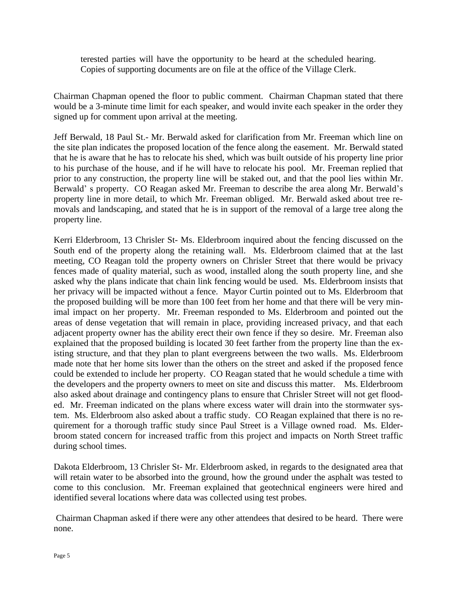terested parties will have the opportunity to be heard at the scheduled hearing. Copies of supporting documents are on file at the office of the Village Clerk.

Chairman Chapman opened the floor to public comment. Chairman Chapman stated that there would be a 3-minute time limit for each speaker, and would invite each speaker in the order they signed up for comment upon arrival at the meeting.

Jeff Berwald, 18 Paul St.- Mr. Berwald asked for clarification from Mr. Freeman which line on the site plan indicates the proposed location of the fence along the easement. Mr. Berwald stated that he is aware that he has to relocate his shed, which was built outside of his property line prior to his purchase of the house, and if he will have to relocate his pool. Mr. Freeman replied that prior to any construction, the property line will be staked out, and that the pool lies within Mr. Berwald' s property. CO Reagan asked Mr. Freeman to describe the area along Mr. Berwald's property line in more detail, to which Mr. Freeman obliged. Mr. Berwald asked about tree removals and landscaping, and stated that he is in support of the removal of a large tree along the property line.

Kerri Elderbroom, 13 Chrisler St- Ms. Elderbroom inquired about the fencing discussed on the South end of the property along the retaining wall. Ms. Elderbroom claimed that at the last meeting, CO Reagan told the property owners on Chrisler Street that there would be privacy fences made of quality material, such as wood, installed along the south property line, and she asked why the plans indicate that chain link fencing would be used. Ms. Elderbroom insists that her privacy will be impacted without a fence. Mayor Curtin pointed out to Ms. Elderbroom that the proposed building will be more than 100 feet from her home and that there will be very minimal impact on her property. Mr. Freeman responded to Ms. Elderbroom and pointed out the areas of dense vegetation that will remain in place, providing increased privacy, and that each adjacent property owner has the ability erect their own fence if they so desire. Mr. Freeman also explained that the proposed building is located 30 feet farther from the property line than the existing structure, and that they plan to plant evergreens between the two walls. Ms. Elderbroom made note that her home sits lower than the others on the street and asked if the proposed fence could be extended to include her property. CO Reagan stated that he would schedule a time with the developers and the property owners to meet on site and discuss this matter. Ms. Elderbroom also asked about drainage and contingency plans to ensure that Chrisler Street will not get flooded. Mr. Freeman indicated on the plans where excess water will drain into the stormwater system. Ms. Elderbroom also asked about a traffic study. CO Reagan explained that there is no requirement for a thorough traffic study since Paul Street is a Village owned road. Ms. Elderbroom stated concern for increased traffic from this project and impacts on North Street traffic during school times.

Dakota Elderbroom, 13 Chrisler St- Mr. Elderbroom asked, in regards to the designated area that will retain water to be absorbed into the ground, how the ground under the asphalt was tested to come to this conclusion. Mr. Freeman explained that geotechnical engineers were hired and identified several locations where data was collected using test probes.

Chairman Chapman asked if there were any other attendees that desired to be heard. There were none.